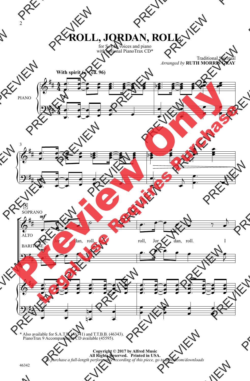## **ROLL, JORDAN, ROLL**

for S.A.B. voices and piano with optional PianoTrax CD\*

> Traditional Spiritual *Arranged by* **RUTH MORRIS GRAY**



\* Also available for S.A.T.B. (46341) and T.T.B.B. (46343). PianoTrax 9 Accompaniment CD available (45595).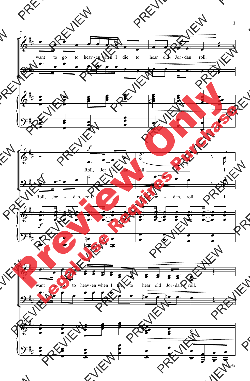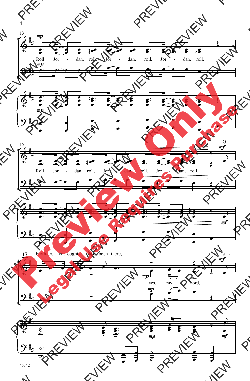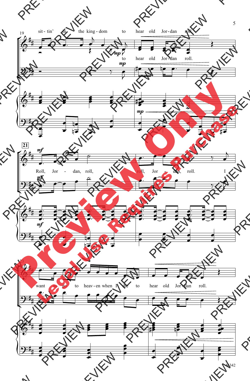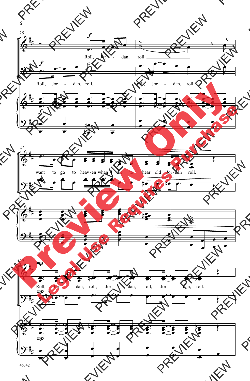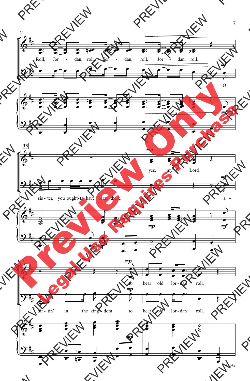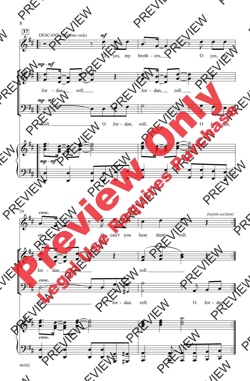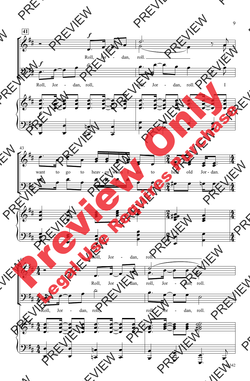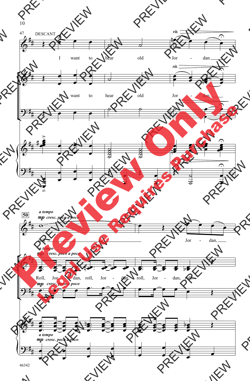